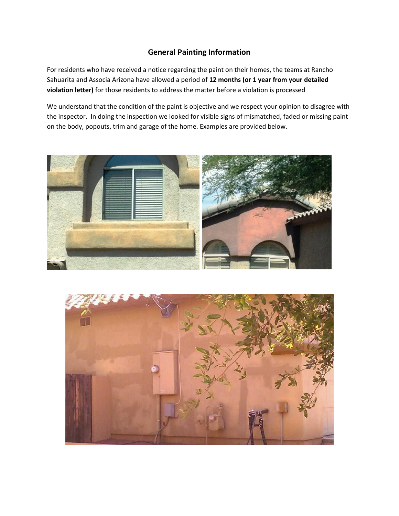## **General Painting Information**

For residents who have received a notice regarding the paint on their homes, the teams at Rancho Sahuarita and Associa Arizona have allowed a period of **12 months (or 1 year from your detailed violation letter)** for those residents to address the matter before a violation is processed

We understand that the condition of the paint is objective and we respect your opinion to disagree with the inspector. In doing the inspection we looked for visible signs of mismatched, faded or missing paint on the body, popouts, trim and garage of the home. Examples are provided below.



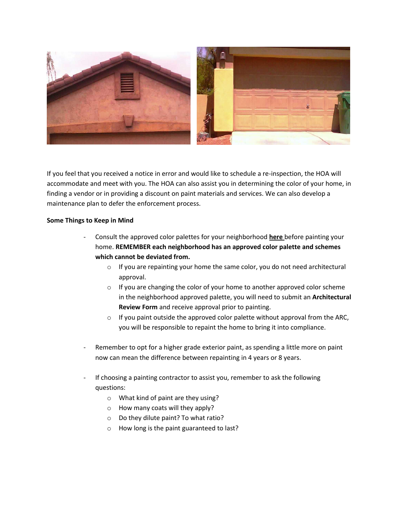

If you feel that you received a notice in error and would like to schedule a re-inspection, the HOA will accommodate and meet with you. The HOA can also assist you in determining the color of your home, in finding a vendor or in providing a discount on paint materials and services. We can also develop a maintenance plan to defer the enforcement process.

## **Some Things to Keep in Mind**

- Consult the approved color palettes for your neighborhood **here** before painting your home. **REMEMBER each neighborhood has an approved color palette and schemes which cannot be deviated from.**
	- o If you are repainting your home the same color, you do not need architectural approval.
	- o If you are changing the color of your home to another approved color scheme in the neighborhood approved palette, you will need to submit an **Architectural Review Form** and receive approval prior to painting.
	- o If you paint outside the approved color palette without approval from the ARC, you will be responsible to repaint the home to bring it into compliance.
- Remember to opt for a higher grade exterior paint, as spending a little more on paint now can mean the difference between repainting in 4 years or 8 years.
- If choosing a painting contractor to assist you, remember to ask the following questions:
	- o What kind of paint are they using?
	- o How many coats will they apply?
	- o Do they dilute paint? To what ratio?
	- o How long is the paint guaranteed to last?